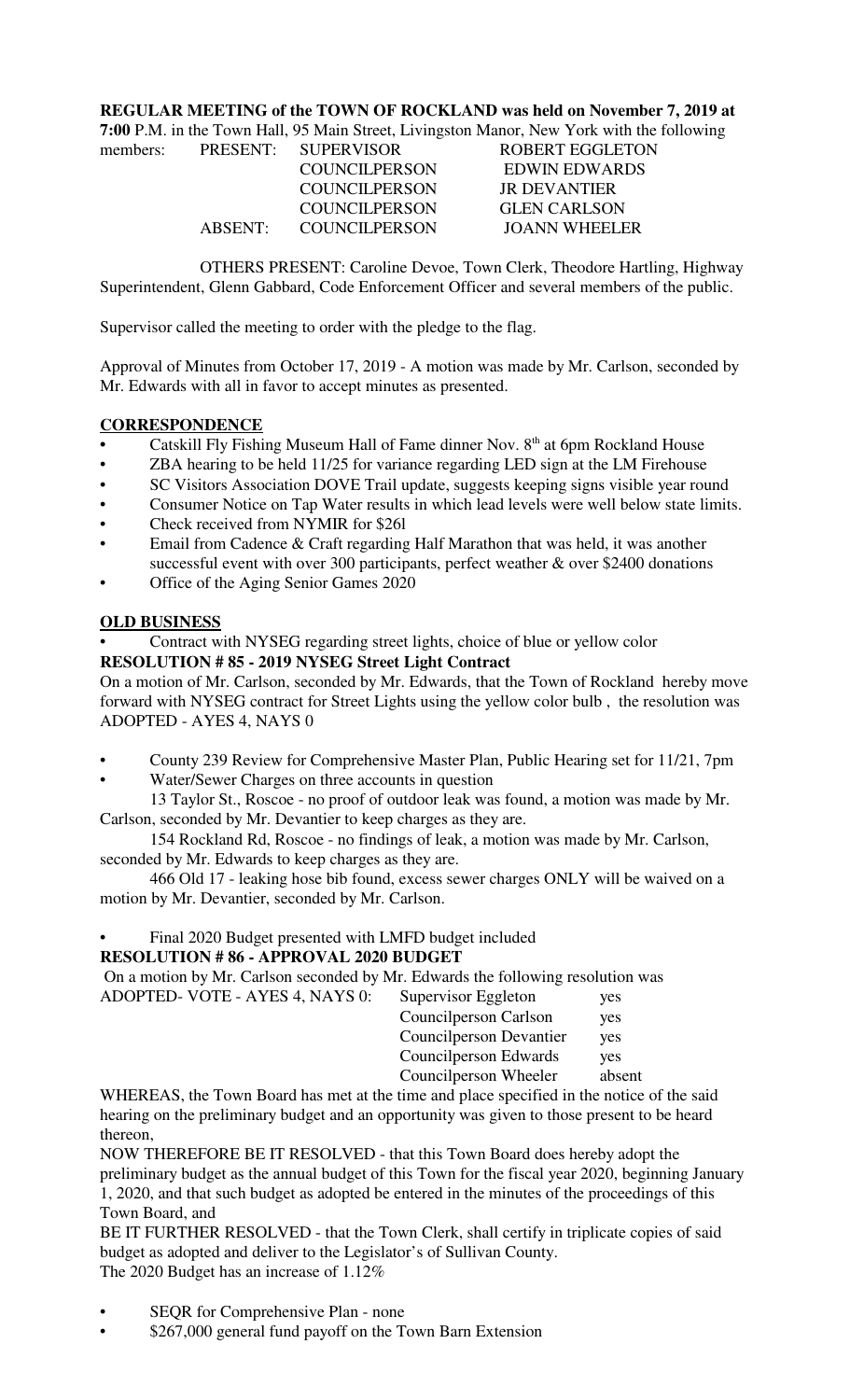### **REGULAR MEETING of the TOWN OF ROCKLAND was held on November 7, 2019 at**

|          |                       | 7:00 P.M. in the Town Hall, 95 Main Street, Livingston Manor, New York with the following |
|----------|-----------------------|-------------------------------------------------------------------------------------------|
| members: | PRESENT: SUPERVISOR   | <b>ROBERT EGGLETON</b>                                                                    |
|          | <b>COUNCILPERSON</b>  | <b>EDWIN EDWARDS</b>                                                                      |
|          | <b>COUNCILPERSON</b>  | <b>JR DEVANTIER</b>                                                                       |
|          | <b>COUNCILPERSON</b>  | <b>GLEN CARLSON</b>                                                                       |
|          | ABSENT: COUNCILPERSON | <b>JOANN WHEELER</b>                                                                      |

OTHERS PRESENT: Caroline Devoe, Town Clerk, Theodore Hartling, Highway Superintendent, Glenn Gabbard, Code Enforcement Officer and several members of the public.

Supervisor called the meeting to order with the pledge to the flag.

Approval of Minutes from October 17, 2019 - A motion was made by Mr. Carlson, seconded by Mr. Edwards with all in favor to accept minutes as presented.

# **CORRESPONDENCE**

- Catskill Fly Fishing Museum Hall of Fame dinner Nov. 8<sup>th</sup> at 6pm Rockland House
- ZBA hearing to be held 11/25 for variance regarding LED sign at the LM Firehouse
- SC Visitors Association DOVE Trail update, suggests keeping signs visible year round
- Consumer Notice on Tap Water results in which lead levels were well below state limits.
- Check received from NYMIR for \$26l
- Email from Cadence & Craft regarding Half Marathon that was held, it was another successful event with over 300 participants, perfect weather & over \$2400 donations
- Office of the Aging Senior Games 2020

# **OLD BUSINESS**

• Contract with NYSEG regarding street lights, choice of blue or yellow color

# **RESOLUTION # 85 - 2019 NYSEG Street Light Contract**

On a motion of Mr. Carlson, seconded by Mr. Edwards, that the Town of Rockland hereby move forward with NYSEG contract for Street Lights using the yellow color bulb , the resolution was ADOPTED - AYES 4, NAYS 0

- County 239 Review for Comprehensive Master Plan, Public Hearing set for 11/21, 7pm
- Water/Sewer Charges on three accounts in question 13 Taylor St., Roscoe - no proof of outdoor leak was found, a motion was made by Mr.

Carlson, seconded by Mr. Devantier to keep charges as they are.

154 Rockland Rd, Roscoe - no findings of leak, a motion was made by Mr. Carlson, seconded by Mr. Edwards to keep charges as they are.

466 Old 17 - leaking hose bib found, excess sewer charges ONLY will be waived on a motion by Mr. Devantier, seconded by Mr. Carlson.

# • Final 2020 Budget presented with LMFD budget included

### **RESOLUTION # 86 - APPROVAL 2020 BUDGET**

On a motion by Mr. Carlson seconded by Mr. Edwards the following resolution was

| ADOPTED- VOTE - AYES 4, NAYS 0: | Supervisor Eggleton      | yes        |
|---------------------------------|--------------------------|------------|
|                                 | Councilperson Carlson    | yes        |
|                                 | Council person Devantier | yes        |
|                                 | Council person Edwards   | <b>ves</b> |
|                                 | Councilperson Wheeler    | absent     |
|                                 |                          |            |

WHEREAS, the Town Board has met at the time and place specified in the notice of the said hearing on the preliminary budget and an opportunity was given to those present to be heard thereon,

NOW THEREFORE BE IT RESOLVED - that this Town Board does hereby adopt the preliminary budget as the annual budget of this Town for the fiscal year 2020, beginning January 1, 2020, and that such budget as adopted be entered in the minutes of the proceedings of this Town Board, and

BE IT FURTHER RESOLVED - that the Town Clerk, shall certify in triplicate copies of said budget as adopted and deliver to the Legislator's of Sullivan County. The 2020 Budget has an increase of 1.12%

- SEOR for Comprehensive Plan none
- \$267,000 general fund payoff on the Town Barn Extension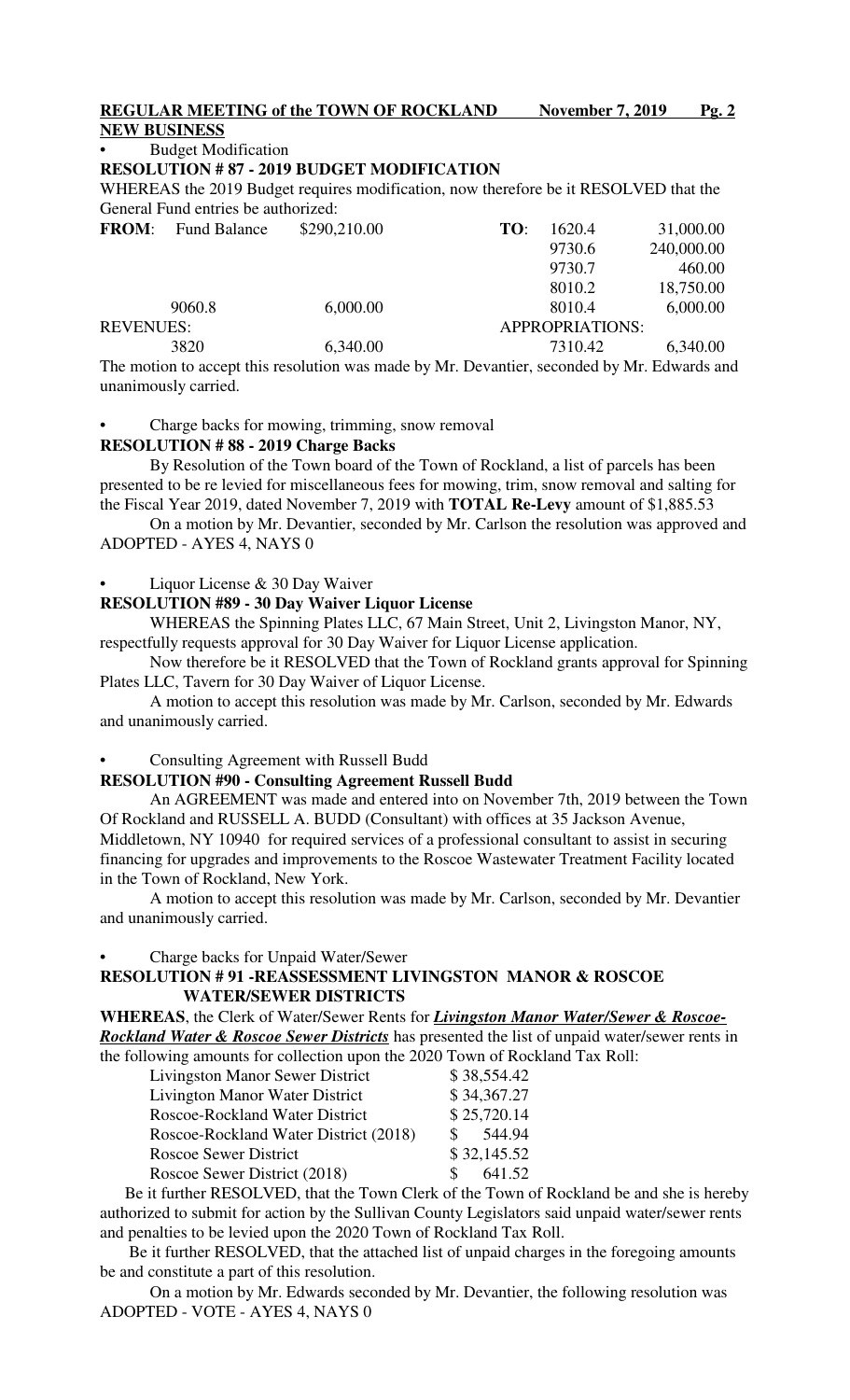**REGULAR MEETING of the TOWN OF ROCKLAND November 7, 2019 Pg. 2** 

# **NEW BUSINESS**

• Budget Modification

#### **RESOLUTION # 87 - 2019 BUDGET MODIFICATION**

WHEREAS the 2019 Budget requires modification, now therefore be it RESOLVED that the General Fund entries be authorized:

| <b>Fund Balance</b> |          | TO:          | 1620.4  | 31,000.00              |
|---------------------|----------|--------------|---------|------------------------|
|                     |          |              | 9730.6  | 240,000.00             |
|                     |          |              | 9730.7  | 460.00                 |
|                     |          |              | 8010.2  | 18,750.00              |
| 9060.8              | 6,000.00 |              | 8010.4  | 6,000.00               |
| <b>REVENUES:</b>    |          |              |         |                        |
| 3820                | 6,340.00 |              | 7310.42 | 6,340.00               |
|                     |          | \$290,210.00 |         | <b>APPROPRIATIONS:</b> |

The motion to accept this resolution was made by Mr. Devantier, seconded by Mr. Edwards and unanimously carried.

Charge backs for mowing, trimming, snow removal

#### **RESOLUTION # 88 - 2019 Charge Backs**

By Resolution of the Town board of the Town of Rockland, a list of parcels has been presented to be re levied for miscellaneous fees for mowing, trim, snow removal and salting for the Fiscal Year 2019, dated November 7, 2019 with **TOTAL Re-Levy** amount of \$1,885.53

On a motion by Mr. Devantier, seconded by Mr. Carlson the resolution was approved and ADOPTED - AYES 4, NAYS 0

#### Liquor License & 30 Day Waiver

#### **RESOLUTION #89 - 30 Day Waiver Liquor License**

WHEREAS the Spinning Plates LLC, 67 Main Street, Unit 2, Livingston Manor, NY, respectfully requests approval for 30 Day Waiver for Liquor License application.

Now therefore be it RESOLVED that the Town of Rockland grants approval for Spinning Plates LLC, Tavern for 30 Day Waiver of Liquor License.

A motion to accept this resolution was made by Mr. Carlson, seconded by Mr. Edwards and unanimously carried.

#### • Consulting Agreement with Russell Budd

#### **RESOLUTION #90 - Consulting Agreement Russell Budd**

An AGREEMENT was made and entered into on November 7th, 2019 between the Town Of Rockland and RUSSELL A. BUDD (Consultant) with offices at 35 Jackson Avenue, Middletown, NY 10940 for required services of a professional consultant to assist in securing financing for upgrades and improvements to the Roscoe Wastewater Treatment Facility located in the Town of Rockland, New York.

A motion to accept this resolution was made by Mr. Carlson, seconded by Mr. Devantier and unanimously carried.

• Charge backs for Unpaid Water/Sewer

### **RESOLUTION # 91 -REASSESSMENT LIVINGSTON MANOR & ROSCOE WATER/SEWER DISTRICTS**

**WHEREAS**, the Clerk of Water/Sewer Rents for *Livingston Manor Water/Sewer & Roscoe-Rockland Water & Roscoe Sewer Districts* has presented the list of unpaid water/sewer rents in the following amounts for collection upon the 2020 Town of Rockland Tax Roll:

| <b>Livingston Manor Sewer District</b> |              | \$38,554.42 |
|----------------------------------------|--------------|-------------|
| Livington Manor Water District         |              | \$34,367.27 |
| Roscoe-Rockland Water District         |              | \$25,720.14 |
| Roscoe-Rockland Water District (2018)  | $\mathbf{s}$ | 544.94      |
| <b>Roscoe Sewer District</b>           |              | \$32,145.52 |
| Roscoe Sewer District (2018)           | $\mathbf{s}$ | 641.52      |

 Be it further RESOLVED, that the Town Clerk of the Town of Rockland be and she is hereby authorized to submit for action by the Sullivan County Legislators said unpaid water/sewer rents and penalties to be levied upon the 2020 Town of Rockland Tax Roll.

 Be it further RESOLVED, that the attached list of unpaid charges in the foregoing amounts be and constitute a part of this resolution.

On a motion by Mr. Edwards seconded by Mr. Devantier, the following resolution was ADOPTED - VOTE - AYES 4, NAYS 0